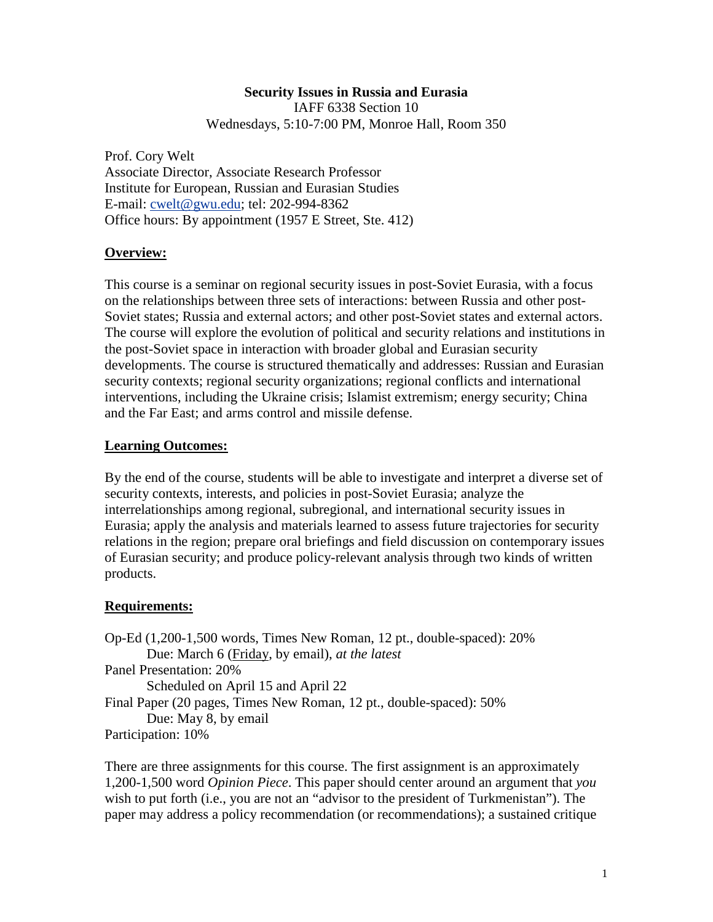#### **Security Issues in Russia and Eurasia**  IAFF 6338 Section 10

Wednesdays, 5:10-7:00 PM, Monroe Hall, Room 350

Prof. Cory Welt Associate Director, Associate Research Professor Institute for European, Russian and Eurasian Studies E-mail: [cwelt@gwu.edu;](mailto:cwelt@gwu.edu) tel: 202-994-8362 Office hours: By appointment (1957 E Street, Ste. 412)

# **Overview:**

This course is a seminar on regional security issues in post-Soviet Eurasia, with a focus on the relationships between three sets of interactions: between Russia and other post-Soviet states; Russia and external actors; and other post-Soviet states and external actors. The course will explore the evolution of political and security relations and institutions in the post-Soviet space in interaction with broader global and Eurasian security developments. The course is structured thematically and addresses: Russian and Eurasian security contexts; regional security organizations; regional conflicts and international interventions, including the Ukraine crisis; Islamist extremism; energy security; China and the Far East; and arms control and missile defense.

# **Learning Outcomes:**

By the end of the course, students will be able to investigate and interpret a diverse set of security contexts, interests, and policies in post-Soviet Eurasia; analyze the interrelationships among regional, subregional, and international security issues in Eurasia; apply the analysis and materials learned to assess future trajectories for security relations in the region; prepare oral briefings and field discussion on contemporary issues of Eurasian security; and produce policy-relevant analysis through two kinds of written products.

# **Requirements:**

Op-Ed (1,200-1,500 words, Times New Roman, 12 pt., double-spaced): 20% Due: March 6 (Friday, by email), *at the latest* Panel Presentation: 20% Scheduled on April 15 and April 22 Final Paper (20 pages, Times New Roman, 12 pt., double-spaced): 50% Due: May 8, by email Participation: 10%

There are three assignments for this course. The first assignment is an approximately 1,200-1,500 word *Opinion Piece*. This paper should center around an argument that *you* wish to put forth (i.e., you are not an "advisor to the president of Turkmenistan"). The paper may address a policy recommendation (or recommendations); a sustained critique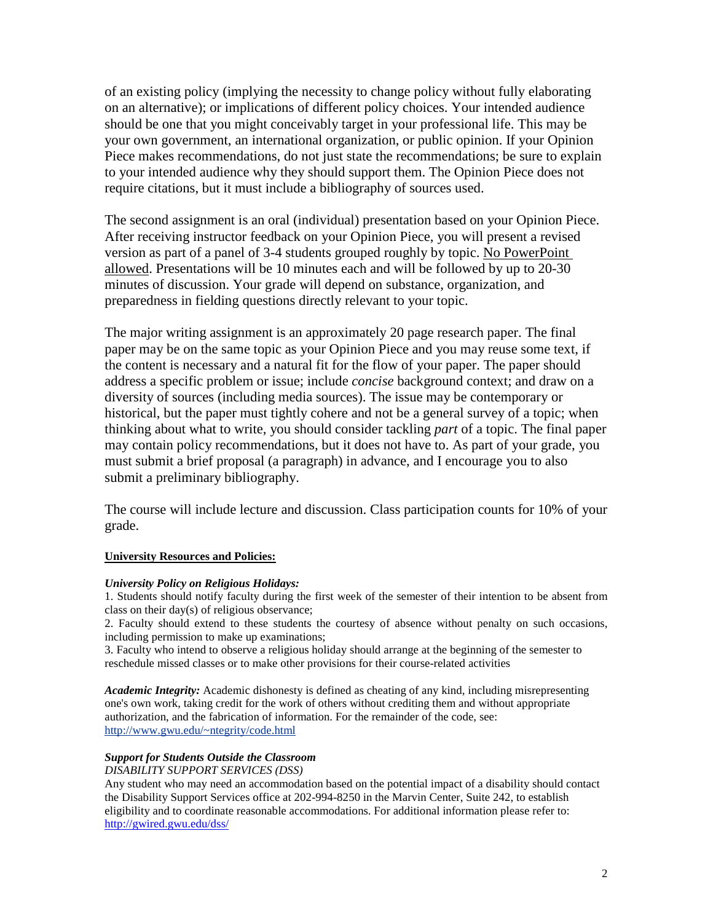of an existing policy (implying the necessity to change policy without fully elaborating on an alternative); or implications of different policy choices. Your intended audience should be one that you might conceivably target in your professional life. This may be your own government, an international organization, or public opinion. If your Opinion Piece makes recommendations, do not just state the recommendations; be sure to explain to your intended audience why they should support them. The Opinion Piece does not require citations, but it must include a bibliography of sources used.

The second assignment is an oral (individual) presentation based on your Opinion Piece. After receiving instructor feedback on your Opinion Piece, you will present a revised version as part of a panel of 3-4 students grouped roughly by topic. No PowerPoint allowed. Presentations will be 10 minutes each and will be followed by up to 20-30 minutes of discussion. Your grade will depend on substance, organization, and preparedness in fielding questions directly relevant to your topic.

The major writing assignment is an approximately 20 page research paper. The final paper may be on the same topic as your Opinion Piece and you may reuse some text, if the content is necessary and a natural fit for the flow of your paper. The paper should address a specific problem or issue; include *concise* background context; and draw on a diversity of sources (including media sources). The issue may be contemporary or historical, but the paper must tightly cohere and not be a general survey of a topic; when thinking about what to write, you should consider tackling *part* of a topic. The final paper may contain policy recommendations, but it does not have to. As part of your grade, you must submit a brief proposal (a paragraph) in advance, and I encourage you to also submit a preliminary bibliography.

The course will include lecture and discussion. Class participation counts for 10% of your grade.

#### **University Resources and Policies:**

#### *University Policy on Religious Holidays:*

1. Students should notify faculty during the first week of the semester of their intention to be absent from class on their day(s) of religious observance;

2. Faculty should extend to these students the courtesy of absence without penalty on such occasions, including permission to make up examinations;

3. Faculty who intend to observe a religious holiday should arrange at the beginning of the semester to reschedule missed classes or to make other provisions for their course-related activities

*Academic Integrity:* Academic dishonesty is defined as cheating of any kind, including misrepresenting one's own work, taking credit for the work of others without crediting them and without appropriate authorization, and the fabrication of information. For the remainder of the code, see: [http://www.gwu.edu/~ntegrity/code.html](http://www.gwu.edu/%7Entegrity/code.html)

### *Support for Students Outside the Classroom*

#### *DISABILITY SUPPORT SERVICES (DSS)*

Any student who may need an accommodation based on the potential impact of a disability should contact the Disability Support Services office at 202-994-8250 in the Marvin Center, Suite 242, to establish eligibility and to coordinate reasonable accommodations. For additional information please refer to: <http://gwired.gwu.edu/dss/>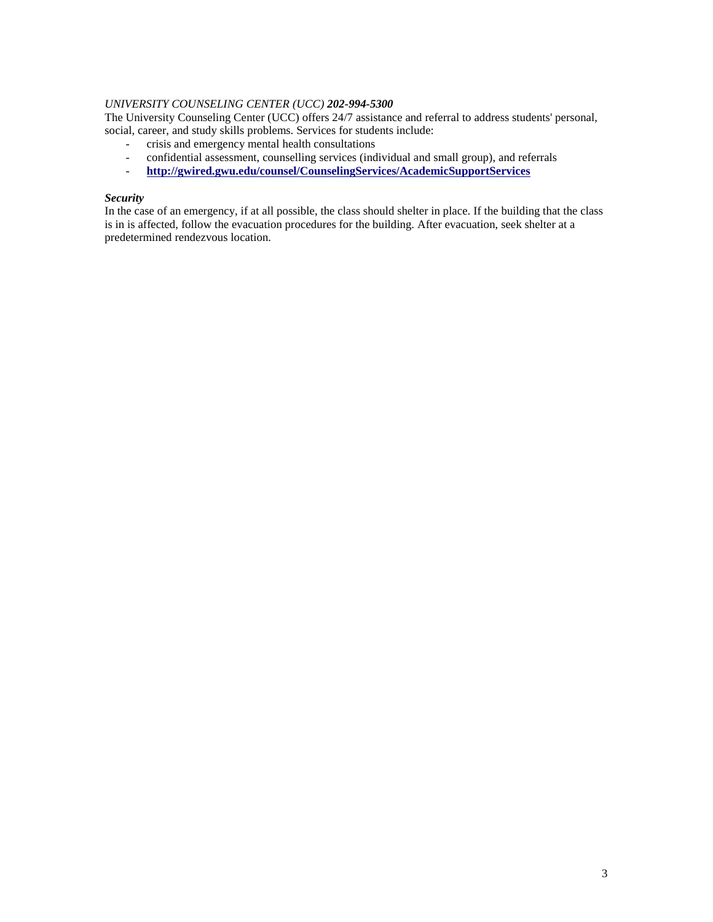#### *UNIVERSITY COUNSELING CENTER (UCC) 202-994-5300*

The University Counseling Center (UCC) offers 24/7 assistance and referral to address students' personal, social, career, and study skills problems. Services for students include:

- crisis and emergency mental health consultations
- confidential assessment, counselling services (individual and small group), and referrals<br>http://gwired.gwu.edu/counsel/CounselingServices/AcademicSupportServices
- **ht[tp://gwired.gwu.edu/counsel/CounselingServices/AcademicSupportServices](http://gwired.gwu.edu/counsel/CounselingServices/AcademicSupportServices/)**

#### *Security*

In the case of an emergency, if at all possible, the class should shelter in place. If the building that the class is in is affected, follow the evacuation procedures for the building. After evacuation, seek shelter at a predetermined rendezvous location.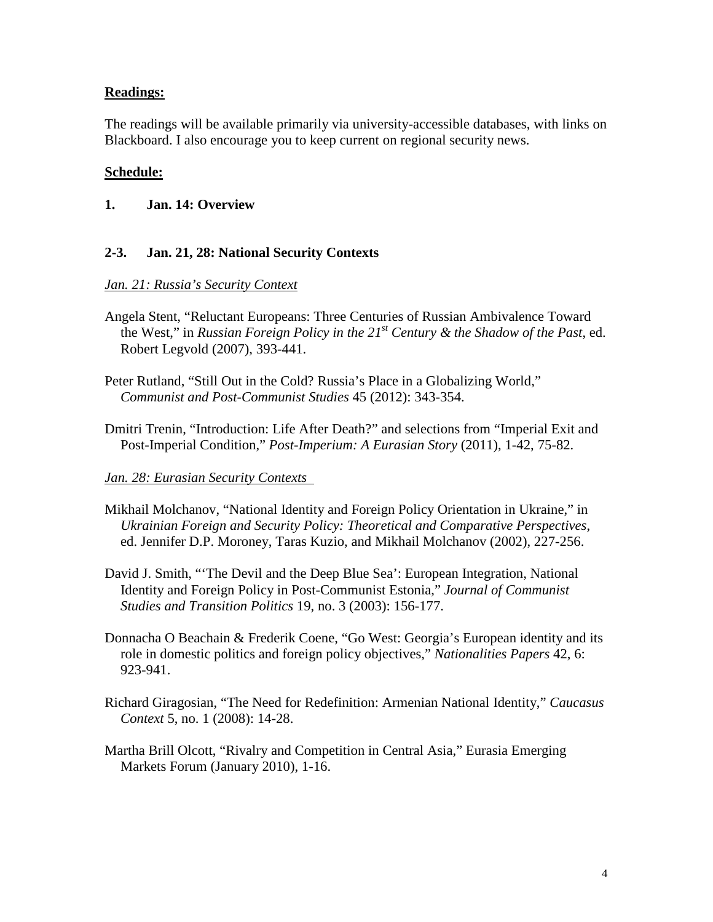# **Readings:**

The readings will be available primarily via university-accessible databases, with links on Blackboard. I also encourage you to keep current on regional security news.

## **Schedule:**

## **1. Jan. 14: Overview**

## **2-3. Jan. 21, 28: National Security Contexts**

## *Jan. 21: Russia's Security Context*

- Angela Stent, "Reluctant Europeans: Three Centuries of Russian Ambivalence Toward the West," in *Russian Foreign Policy in the 21st Century & the Shadow of the Past*, ed. Robert Legvold (2007), 393-441.
- Peter Rutland, "Still Out in the Cold? Russia's Place in a Globalizing World," *Communist and Post-Communist Studies* 45 (2012): 343-354.
- Dmitri Trenin, "Introduction: Life After Death?" and selections from "Imperial Exit and Post-Imperial Condition," *Post-Imperium: A Eurasian Story* (2011), 1-42, 75-82.

## *Jan. 28: Eurasian Security Contexts*

- Mikhail Molchanov, "National Identity and Foreign Policy Orientation in Ukraine," in *Ukrainian Foreign and Security Policy: Theoretical and Comparative Perspectives*, ed. Jennifer D.P. Moroney, Taras Kuzio, and Mikhail Molchanov (2002), 227-256.
- David J. Smith, "'The Devil and the Deep Blue Sea': European Integration, National Identity and Foreign Policy in Post-Communist Estonia," *Journal of Communist Studies and Transition Politics* 19, no. 3 (2003): 156-177.
- Donnacha O Beachain & Frederik Coene, "Go West: Georgia's European identity and its role in domestic politics and foreign policy objectives," *Nationalities Papers* 42, 6: 923-941.
- Richard Giragosian, "The Need for Redefinition: Armenian National Identity," *Caucasus Context* 5, no. 1 (2008): 14-28.
- Martha Brill Olcott, "Rivalry and Competition in Central Asia," Eurasia Emerging Markets Forum (January 2010), 1-16.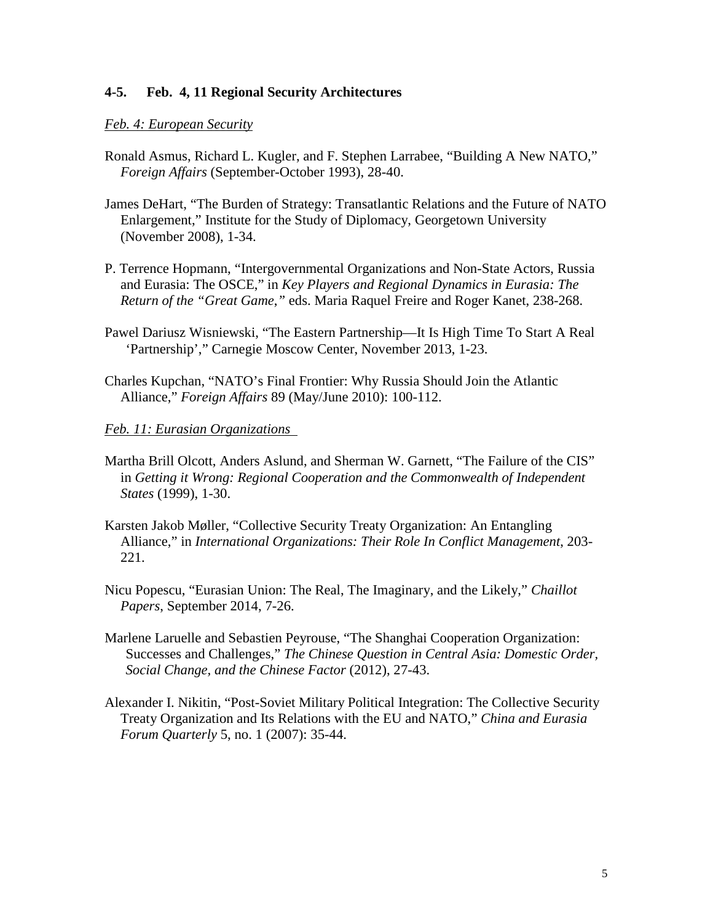## **4-5. Feb. 4, 11 Regional Security Architectures**

## *Feb. 4: European Security*

- Ronald Asmus, Richard L. Kugler, and F. Stephen Larrabee, "Building A New NATO," *Foreign Affairs* (September-October 1993), 28-40.
- James DeHart, "The Burden of Strategy: Transatlantic Relations and the Future of NATO Enlargement," Institute for the Study of Diplomacy, Georgetown University (November 2008), 1-34.
- P. Terrence Hopmann, "Intergovernmental Organizations and Non-State Actors, Russia and Eurasia: The OSCE," in *Key Players and Regional Dynamics in Eurasia: The Return of the "Great Game*,*"* eds. Maria Raquel Freire and Roger Kanet, 238-268.
- Pawel Dariusz Wisniewski, "The Eastern Partnership—It Is High Time To Start A Real 'Partnership'," Carnegie Moscow Center, November 2013, 1-23.
- Charles Kupchan, "NATO's Final Frontier: Why Russia Should Join the Atlantic Alliance," *Foreign Affairs* 89 (May/June 2010): 100-112.

#### *Feb. 11: Eurasian Organizations*

- Martha Brill Olcott, Anders Aslund, and Sherman W. Garnett, "The Failure of the CIS" in *Getting it Wrong: Regional Cooperation and the Commonwealth of Independent States* (1999), 1-30.
- Karsten Jakob Møller, "Collective Security Treaty Organization: An Entangling Alliance," in *International Organizations: Their Role In Conflict Management*, 203- 221.
- Nicu Popescu, "Eurasian Union: The Real, The Imaginary, and the Likely," *Chaillot Papers*, September 2014, 7-26.
- Marlene Laruelle and Sebastien Peyrouse, "The Shanghai Cooperation Organization: Successes and Challenges," *The Chinese Question in Central Asia: Domestic Order, Social Change, and the Chinese Factor* (2012), 27-43.
- Alexander I. Nikitin, "Post-Soviet Military Political Integration: The Collective Security Treaty Organization and Its Relations with the EU and NATO," *China and Eurasia Forum Quarterly* 5, no. 1 (2007): 35-44.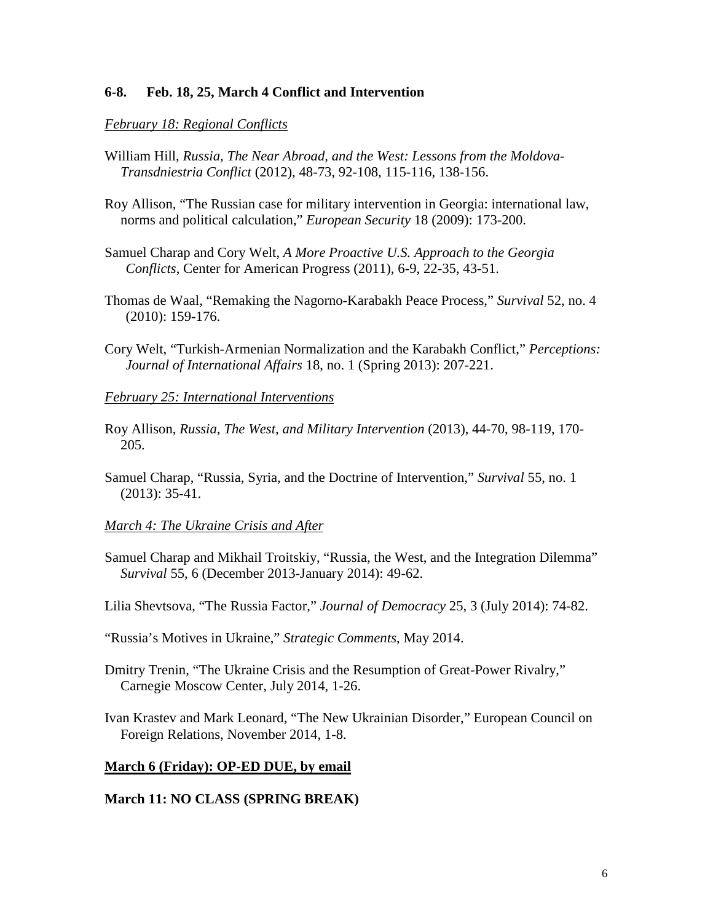## **6-8. Feb. 18, 25, March 4 Conflict and Intervention**

## *February 18: Regional Conflicts*

- William Hill, *Russia, The Near Abroad, and the West: Lessons from the Moldova-Transdniestria Conflict* (2012), 48-73, 92-108, 115-116, 138-156.
- Roy Allison, "The Russian case for military intervention in Georgia: international law, norms and political calculation," *European Security* 18 (2009): 173-200.
- Samuel Charap and Cory Welt, *[A More Proactive U.S. Approach to the Georgia](http://www.americanprogress.org/issues/2010/10/new_approach_russia_georgia.html)  [Conflicts](http://www.americanprogress.org/issues/2010/10/new_approach_russia_georgia.html)*, Center for American Progress (2011), 6-9, 22-35, 43-51.
- Thomas de Waal, "Remaking the Nagorno-Karabakh Peace Process," *Survival* 52, no. 4 (2010): 159-176.
- Cory Welt, "Turkish-Armenian Normalization and the Karabakh Conflict," *Perceptions: Journal of International Affairs* 18, no. 1 (Spring 2013): 207-221.

### *February 25: International Interventions*

- Roy Allison, *Russia, The West, and Military Intervention* (2013), 44-70, 98-119, 170- 205.
- Samuel Charap, "Russia, Syria, and the Doctrine of Intervention," *Survival* 55, no. 1 (2013): 35-41.

#### *March 4: The Ukraine Crisis and After*

Samuel Charap and Mikhail Troitskiy, "Russia, the West, and the Integration Dilemma" *Survival* 55, 6 (December 2013-January 2014): 49-62.

Lilia Shevtsova, "The Russia Factor," *Journal of Democracy* 25, 3 (July 2014): 74-82.

- "Russia's Motives in Ukraine," *Strategic Comments*, May 2014.
- Dmitry Trenin, "The Ukraine Crisis and the Resumption of Great-Power Rivalry," Carnegie Moscow Center, July 2014, 1-26.
- Ivan Krastev and Mark Leonard, "The New Ukrainian Disorder," European Council on Foreign Relations, November 2014, 1-8.

### **March 6 (Friday): OP-ED DUE, by email**

### **March 11: NO CLASS (SPRING BREAK)**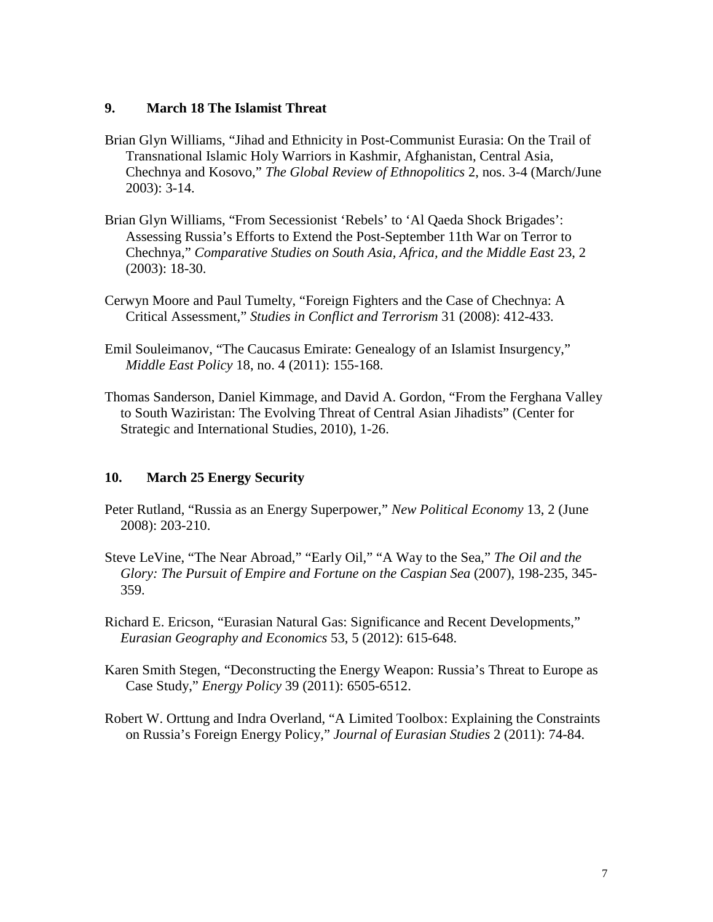## **9. March 18 The Islamist Threat**

- Brian Glyn Williams, "Jihad and Ethnicity in Post-Communist Eurasia: On the Trail of Transnational Islamic Holy Warriors in Kashmir, Afghanistan, Central Asia, Chechnya and Kosovo," *The Global Review of Ethnopolitics* 2, nos. 3-4 (March/June 2003): 3-14.
- Brian Glyn Williams, "From Secessionist 'Rebels' to 'Al Qaeda Shock Brigades': Assessing Russia's Efforts to Extend the Post-September 11th War on Terror to Chechnya," *Comparative Studies on South Asia, Africa, and the Middle East* 23, 2 (2003): 18-30.
- Cerwyn Moore and Paul Tumelty, "Foreign Fighters and the Case of Chechnya: A Critical Assessment," *Studies in Conflict and Terrorism* 31 (2008): 412-433.
- Emil Souleimanov, "The Caucasus Emirate: Genealogy of an Islamist Insurgency," *Middle East Policy* 18, no. 4 (2011): 155-168.
- Thomas Sanderson, Daniel Kimmage, and David A. Gordon, "From the Ferghana Valley to South Waziristan: The Evolving Threat of Central Asian Jihadists" (Center for Strategic and International Studies, 2010), 1-26.

# **10. March 25 Energy Security**

- Peter Rutland, "Russia as an Energy Superpower," *New Political Economy* 13, 2 (June 2008): 203-210.
- Steve LeVine, "The Near Abroad," "Early Oil," "A Way to the Sea," *The Oil and the Glory: The Pursuit of Empire and Fortune on the Caspian Sea* (2007), 198-235, 345- 359.
- Richard E. Ericson, "Eurasian Natural Gas: Significance and Recent Developments," *Eurasian Geography and Economics* 53, 5 (2012): 615-648.
- Karen Smith Stegen, "Deconstructing the Energy Weapon: Russia's Threat to Europe as Case Study," *Energy Policy* 39 (2011): 6505-6512.
- Robert W. Orttung and Indra Overland, "A Limited Toolbox: Explaining the Constraints on Russia's Foreign Energy Policy," *Journal of Eurasian Studies* 2 (2011): 74-84.